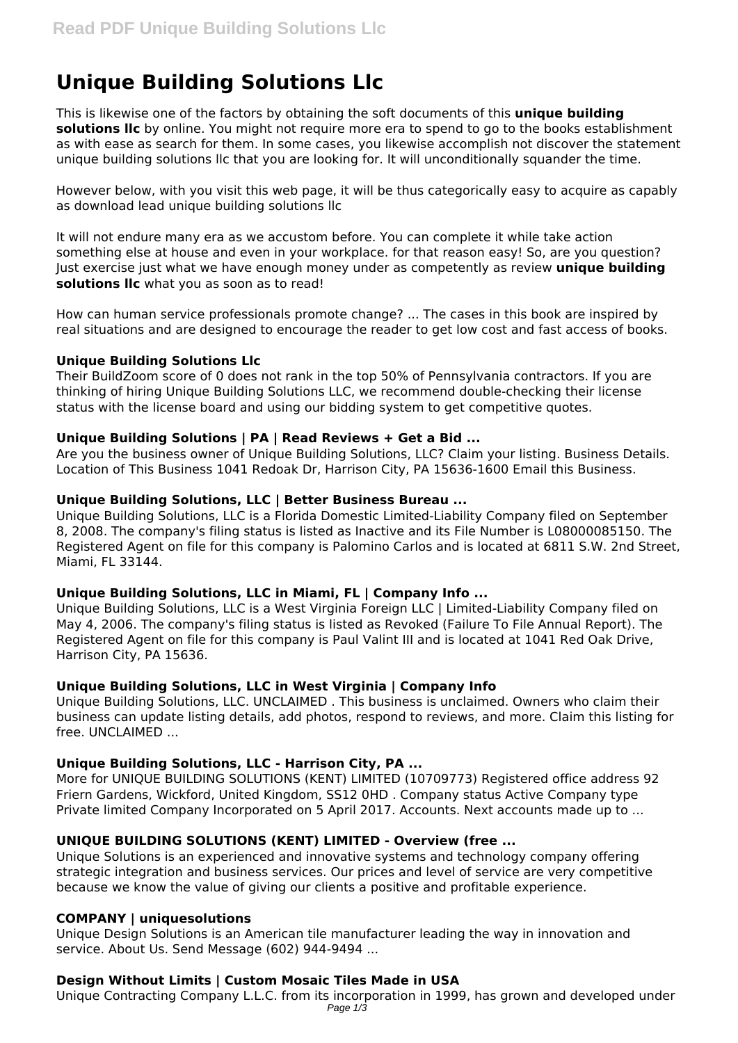# **Unique Building Solutions Llc**

This is likewise one of the factors by obtaining the soft documents of this **unique building solutions llc** by online. You might not require more era to spend to go to the books establishment as with ease as search for them. In some cases, you likewise accomplish not discover the statement unique building solutions llc that you are looking for. It will unconditionally squander the time.

However below, with you visit this web page, it will be thus categorically easy to acquire as capably as download lead unique building solutions llc

It will not endure many era as we accustom before. You can complete it while take action something else at house and even in your workplace. for that reason easy! So, are you question? Just exercise just what we have enough money under as competently as review **unique building solutions llc** what you as soon as to read!

How can human service professionals promote change? ... The cases in this book are inspired by real situations and are designed to encourage the reader to get low cost and fast access of books.

#### **Unique Building Solutions Llc**

Their BuildZoom score of 0 does not rank in the top 50% of Pennsylvania contractors. If you are thinking of hiring Unique Building Solutions LLC, we recommend double-checking their license status with the license board and using our bidding system to get competitive quotes.

#### **Unique Building Solutions | PA | Read Reviews + Get a Bid ...**

Are you the business owner of Unique Building Solutions, LLC? Claim your listing. Business Details. Location of This Business 1041 Redoak Dr, Harrison City, PA 15636-1600 Email this Business.

#### **Unique Building Solutions, LLC | Better Business Bureau ...**

Unique Building Solutions, LLC is a Florida Domestic Limited-Liability Company filed on September 8, 2008. The company's filing status is listed as Inactive and its File Number is L08000085150. The Registered Agent on file for this company is Palomino Carlos and is located at 6811 S.W. 2nd Street, Miami, FL 33144.

# **Unique Building Solutions, LLC in Miami, FL | Company Info ...**

Unique Building Solutions, LLC is a West Virginia Foreign LLC | Limited-Liability Company filed on May 4, 2006. The company's filing status is listed as Revoked (Failure To File Annual Report). The Registered Agent on file for this company is Paul Valint III and is located at 1041 Red Oak Drive, Harrison City, PA 15636.

#### **Unique Building Solutions, LLC in West Virginia | Company Info**

Unique Building Solutions, LLC. UNCLAIMED . This business is unclaimed. Owners who claim their business can update listing details, add photos, respond to reviews, and more. Claim this listing for free. UNCLAIMED ...

#### **Unique Building Solutions, LLC - Harrison City, PA ...**

More for UNIQUE BUILDING SOLUTIONS (KENT) LIMITED (10709773) Registered office address 92 Friern Gardens, Wickford, United Kingdom, SS12 0HD . Company status Active Company type Private limited Company Incorporated on 5 April 2017. Accounts. Next accounts made up to ...

# **UNIQUE BUILDING SOLUTIONS (KENT) LIMITED - Overview (free ...**

Unique Solutions is an experienced and innovative systems and technology company offering strategic integration and business services. Our prices and level of service are very competitive because we know the value of giving our clients a positive and profitable experience.

#### **COMPANY | uniquesolutions**

Unique Design Solutions is an American tile manufacturer leading the way in innovation and service. About Us. Send Message (602) 944-9494 ...

# **Design Without Limits | Custom Mosaic Tiles Made in USA**

Unique Contracting Company L.L.C. from its incorporation in 1999, has grown and developed under Page 1/3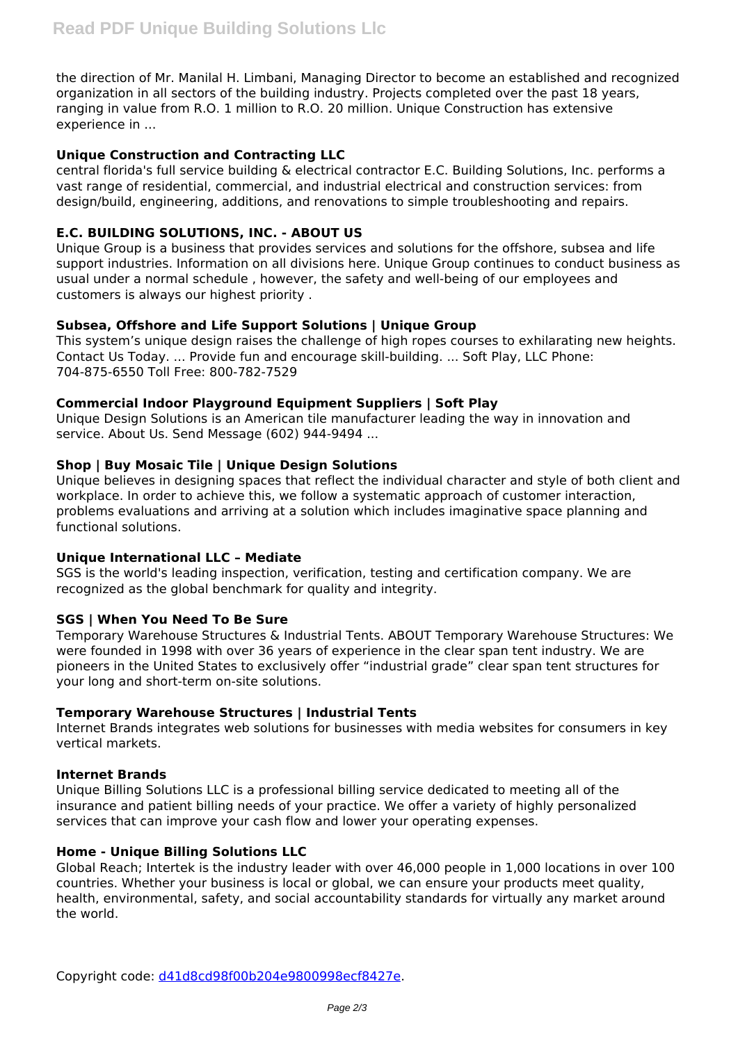the direction of Mr. Manilal H. Limbani, Managing Director to become an established and recognized organization in all sectors of the building industry. Projects completed over the past 18 years, ranging in value from R.O. 1 million to R.O. 20 million. Unique Construction has extensive experience in ...

# **Unique Construction and Contracting LLC**

central florida's full service building & electrical contractor E.C. Building Solutions, Inc. performs a vast range of residential, commercial, and industrial electrical and construction services: from design/build, engineering, additions, and renovations to simple troubleshooting and repairs.

# **E.C. BUILDING SOLUTIONS, INC. - ABOUT US**

Unique Group is a business that provides services and solutions for the offshore, subsea and life support industries. Information on all divisions here. Unique Group continues to conduct business as usual under a normal schedule , however, the safety and well-being of our employees and customers is always our highest priority .

# **Subsea, Offshore and Life Support Solutions | Unique Group**

This system's unique design raises the challenge of high ropes courses to exhilarating new heights. Contact Us Today. ... Provide fun and encourage skill-building. ... Soft Play, LLC Phone: 704-875-6550 Toll Free: 800-782-7529

# **Commercial Indoor Playground Equipment Suppliers | Soft Play**

Unique Design Solutions is an American tile manufacturer leading the way in innovation and service. About Us. Send Message (602) 944-9494 ...

# **Shop | Buy Mosaic Tile | Unique Design Solutions**

Unique believes in designing spaces that reflect the individual character and style of both client and workplace. In order to achieve this, we follow a systematic approach of customer interaction, problems evaluations and arriving at a solution which includes imaginative space planning and functional solutions.

# **Unique International LLC – Mediate**

SGS is the world's leading inspection, verification, testing and certification company. We are recognized as the global benchmark for quality and integrity.

# **SGS | When You Need To Be Sure**

Temporary Warehouse Structures & Industrial Tents. ABOUT Temporary Warehouse Structures: We were founded in 1998 with over 36 years of experience in the clear span tent industry. We are pioneers in the United States to exclusively offer "industrial grade" clear span tent structures for your long and short-term on-site solutions.

# **Temporary Warehouse Structures | Industrial Tents**

Internet Brands integrates web solutions for businesses with media websites for consumers in key vertical markets.

# **Internet Brands**

Unique Billing Solutions LLC is a professional billing service dedicated to meeting all of the insurance and patient billing needs of your practice. We offer a variety of highly personalized services that can improve your cash flow and lower your operating expenses.

# **Home - Unique Billing Solutions LLC**

Global Reach; Intertek is the industry leader with over 46,000 people in 1,000 locations in over 100 countries. Whether your business is local or global, we can ensure your products meet quality, health, environmental, safety, and social accountability standards for virtually any market around the world.